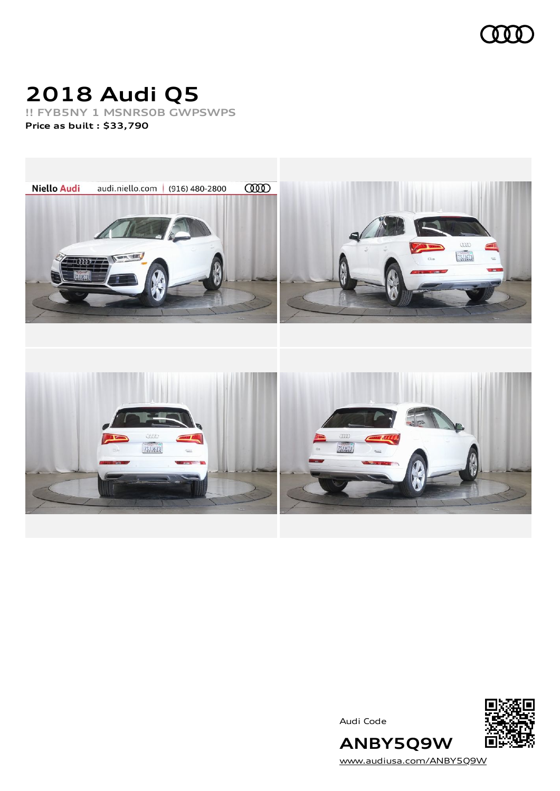

# **2018 Audi Q5**

**!! FYB5NY 1 MSNRS0B GWPSWPS Price as built [:](#page-6-0) \$33,790**

**Niello Audi** audi.niello.com | (916) 480-2800 **COOD**  $\alpha$ 75.11673 mor w 7511673  $\frac{1}{75}$ 

Audi Code



**ANBY5Q9W** [www.audiusa.com/ANBY5Q9W](https://www.audiusa.com/ANBY5Q9W)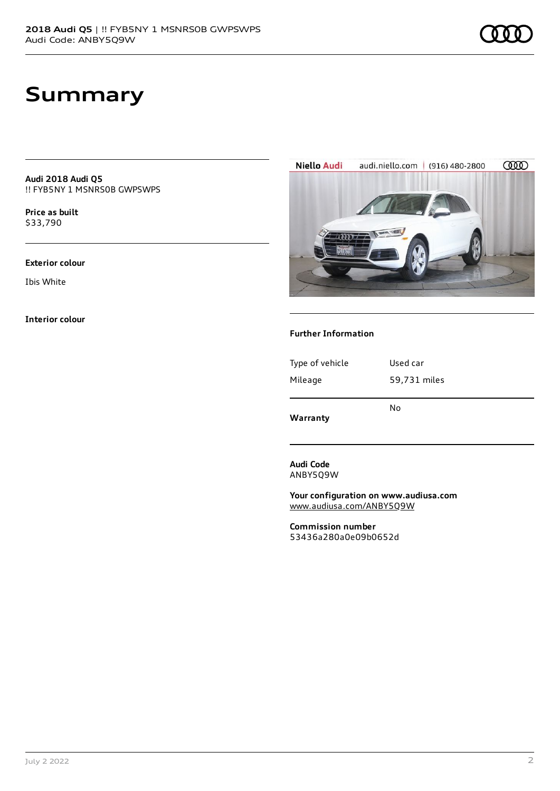**Audi 2018 Audi Q5** !! FYB5NY 1 MSNRS0B GWPSWPS

**Price as buil[t](#page-6-0)** \$33,790

#### **Exterior colour**

Ibis White

**Interior colour**



### **Further Information**

| Warranty        | No           |
|-----------------|--------------|
|                 |              |
| Mileage         | 59,731 miles |
| Type of vehicle | Used car     |
|                 |              |

**Audi Code** ANBY5Q9W

**Your configuration on www.audiusa.com** [www.audiusa.com/ANBY5Q9W](https://www.audiusa.com/ANBY5Q9W)

**Commission number** 53436a280a0e09b0652d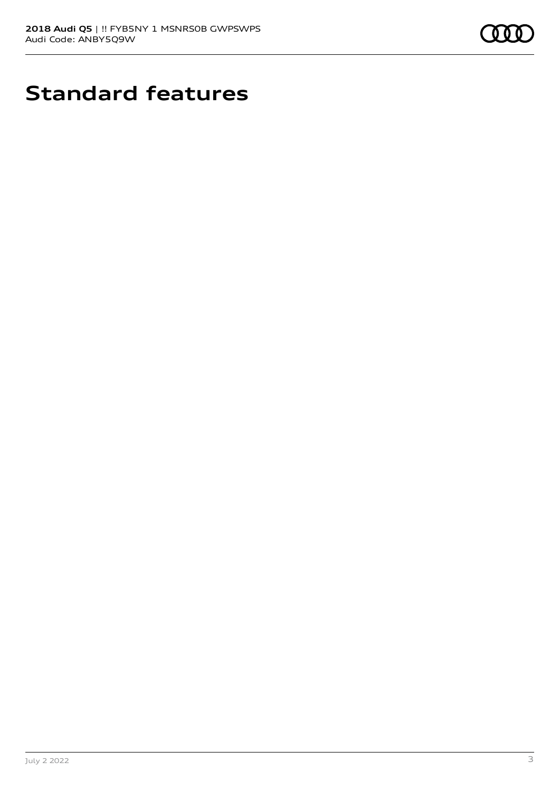

# **Standard features**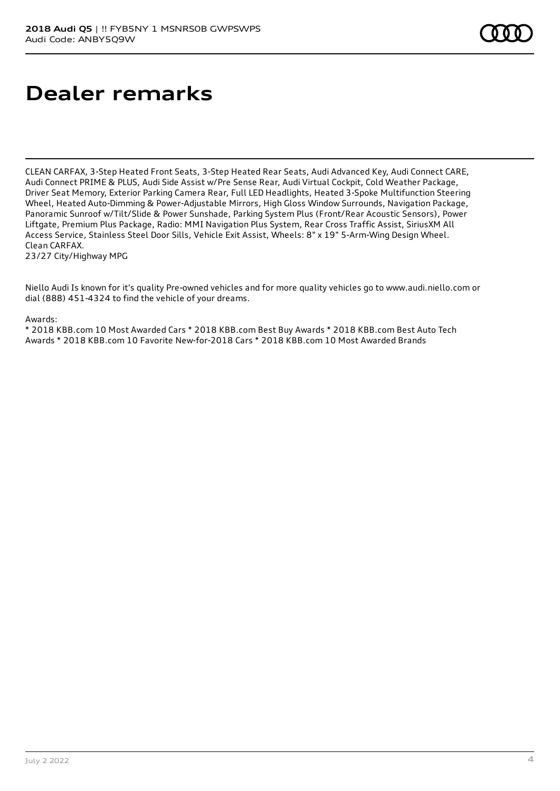# **Dealer remarks**

CLEAN CARFAX, 3-Step Heated Front Seats, 3-Step Heated Rear Seats, Audi Advanced Key, Audi Connect CARE, Audi Connect PRIME & PLUS, Audi Side Assist w/Pre Sense Rear, Audi Virtual Cockpit, Cold Weather Package, Driver Seat Memory, Exterior Parking Camera Rear, Full LED Headlights, Heated 3-Spoke Multifunction Steering Wheel, Heated Auto-Dimming & Power-Adjustable Mirrors, High Gloss Window Surrounds, Navigation Package, Panoramic Sunroof w/Tilt/Slide & Power Sunshade, Parking System Plus (Front/Rear Acoustic Sensors), Power Liftgate, Premium Plus Package, Radio: MMI Navigation Plus System, Rear Cross Traffic Assist, SiriusXM All Access Service, Stainless Steel Door Sills, Vehicle Exit Assist, Wheels: 8" x 19" 5-Arm-Wing Design Wheel. Clean CARFAX. 23/27 City/Highway MPG

Niello Audi Is known for it's quality Pre-owned vehicles and for more quality vehicles go to www.audi.niello.com or dial (888) 451-4324 to find the vehicle of your dreams.

#### Awards:

\* 2018 KBB.com 10 Most Awarded Cars \* 2018 KBB.com Best Buy Awards \* 2018 KBB.com Best Auto Tech Awards \* 2018 KBB.com 10 Favorite New-for-2018 Cars \* 2018 KBB.com 10 Most Awarded Brands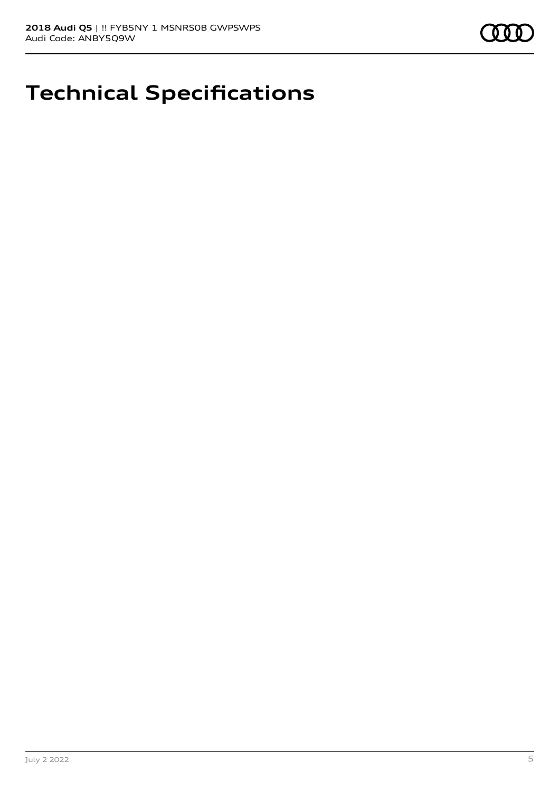

## **Technical Specifications**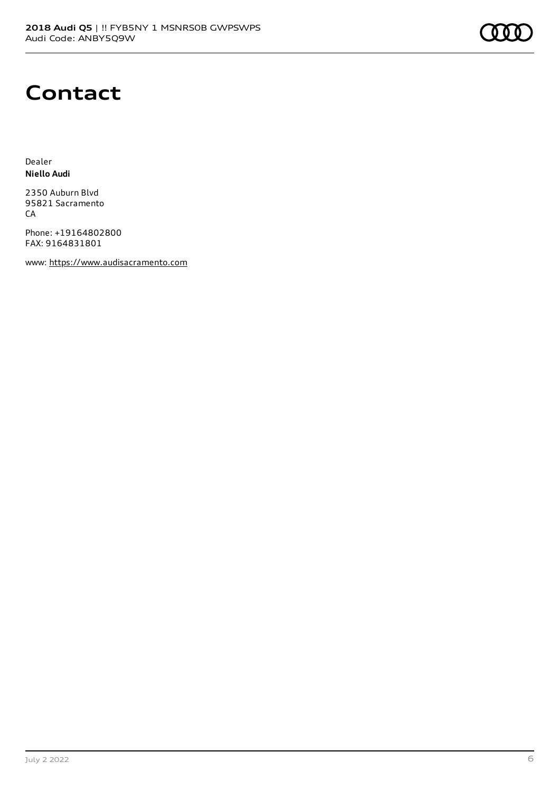### **Contact**

Dealer **Niello Audi**

2350 Auburn Blvd 95821 Sacramento CA

Phone: +19164802800 FAX: 9164831801

www: [https://www.audisacramento.com](https://www.audisacramento.com/)